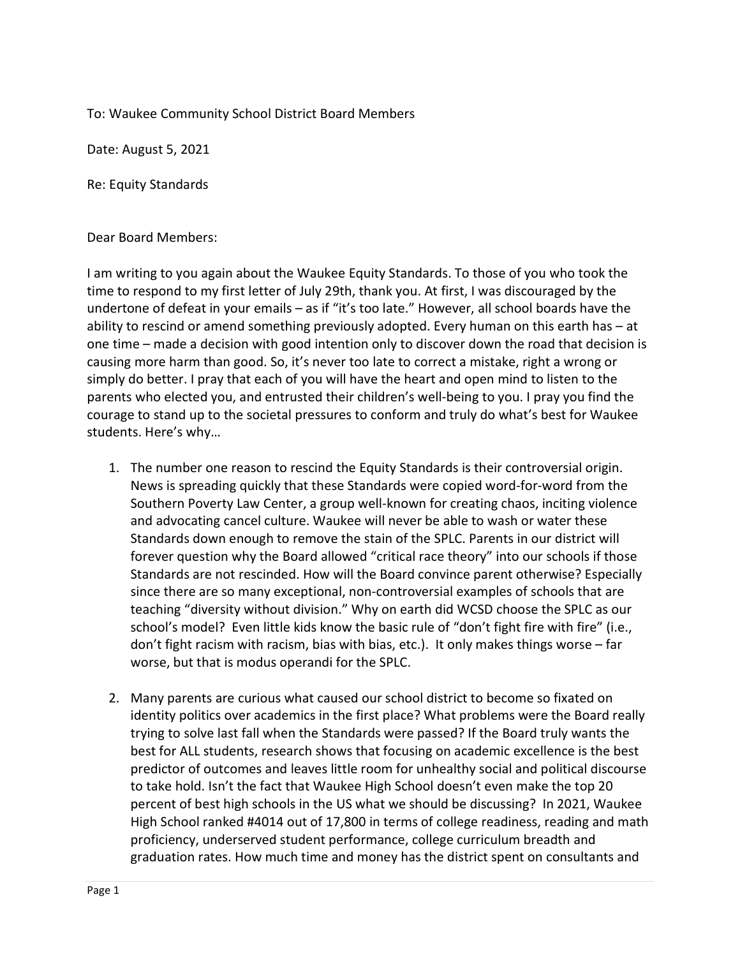To: Waukee Community School District Board Members

Date: August 5, 2021

Re: Equity Standards

## Dear Board Members:

I am writing to you again about the Waukee Equity Standards. To those of you who took the time to respond to my first letter of July 29th, thank you. At first, I was discouraged by the undertone of defeat in your emails – as if "it's too late." However, all school boards have the ability to rescind or amend something previously adopted. Every human on this earth has – at one time – made a decision with good intention only to discover down the road that decision is causing more harm than good. So, it's never too late to correct a mistake, right a wrong or simply do better. I pray that each of you will have the heart and open mind to listen to the parents who elected you, and entrusted their children's well-being to you. I pray you find the courage to stand up to the societal pressures to conform and truly do what's best for Waukee students. Here's why…

- 1. The number one reason to rescind the Equity Standards is their controversial origin. News is spreading quickly that these Standards were copied word-for-word from the Southern Poverty Law Center, a group well-known for creating chaos, inciting violence and advocating cancel culture. Waukee will never be able to wash or water these Standards down enough to remove the stain of the SPLC. Parents in our district will forever question why the Board allowed "critical race theory" into our schools if those Standards are not rescinded. How will the Board convince parent otherwise? Especially since there are so many exceptional, non-controversial examples of schools that are teaching "diversity without division." Why on earth did WCSD choose the SPLC as our school's model? Even little kids know the basic rule of "don't fight fire with fire" (i.e., don't fight racism with racism, bias with bias, etc.). It only makes things worse – far worse, but that is modus operandi for the SPLC.
- 2. Many parents are curious what caused our school district to become so fixated on identity politics over academics in the first place? What problems were the Board really trying to solve last fall when the Standards were passed? If the Board truly wants the best for ALL students, research shows that focusing on academic excellence is the best predictor of outcomes and leaves little room for unhealthy social and political discourse to take hold. Isn't the fact that Waukee High School doesn't even make the top 20 percent of best high schools in the US what we should be discussing? In 2021, Waukee High School ranked #4014 out of 17,800 in terms of college readiness, reading and math proficiency, underserved student performance, college curriculum breadth and graduation rates. How much time and money has the district spent on consultants and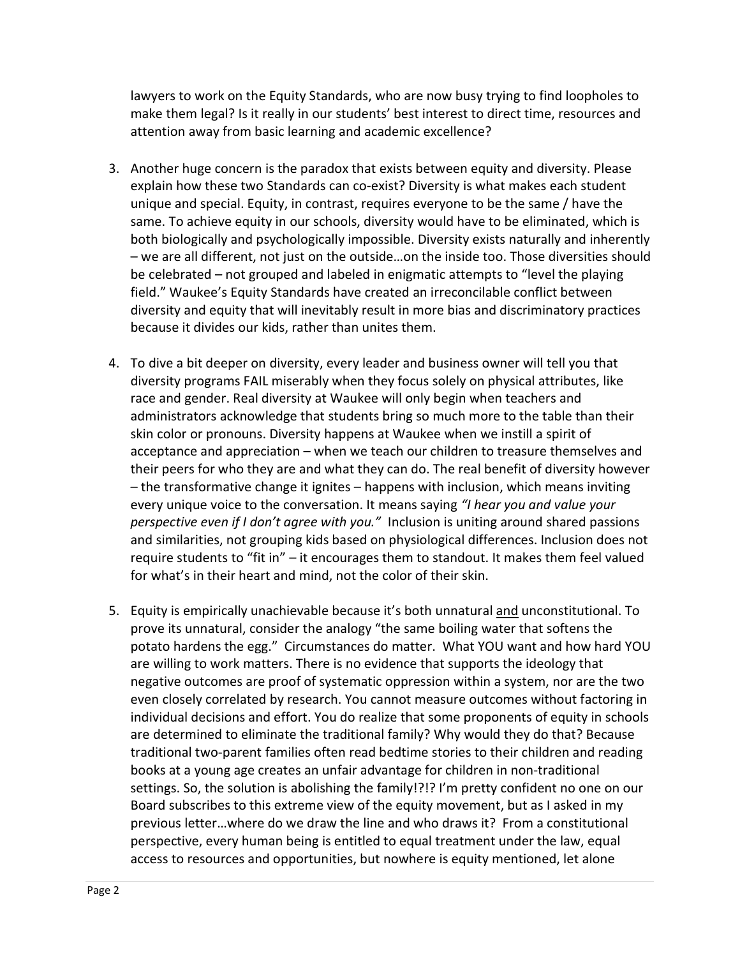lawyers to work on the Equity Standards, who are now busy trying to find loopholes to make them legal? Is it really in our students' best interest to direct time, resources and attention away from basic learning and academic excellence?

- 3. Another huge concern is the paradox that exists between equity and diversity. Please explain how these two Standards can co-exist? Diversity is what makes each student unique and special. Equity, in contrast, requires everyone to be the same / have the same. To achieve equity in our schools, diversity would have to be eliminated, which is both biologically and psychologically impossible. Diversity exists naturally and inherently – we are all different, not just on the outside…on the inside too. Those diversities should be celebrated – not grouped and labeled in enigmatic attempts to "level the playing field." Waukee's Equity Standards have created an irreconcilable conflict between diversity and equity that will inevitably result in more bias and discriminatory practices because it divides our kids, rather than unites them.
- 4. To dive a bit deeper on diversity, every leader and business owner will tell you that diversity programs FAIL miserably when they focus solely on physical attributes, like race and gender. Real diversity at Waukee will only begin when teachers and administrators acknowledge that students bring so much more to the table than their skin color or pronouns. Diversity happens at Waukee when we instill a spirit of acceptance and appreciation – when we teach our children to treasure themselves and their peers for who they are and what they can do. The real benefit of diversity however – the transformative change it ignites – happens with inclusion, which means inviting every unique voice to the conversation. It means saying "I hear you and value your perspective even if I don't agree with you." Inclusion is uniting around shared passions and similarities, not grouping kids based on physiological differences. Inclusion does not require students to "fit in" – it encourages them to standout. It makes them feel valued for what's in their heart and mind, not the color of their skin.
- 5. Equity is empirically unachievable because it's both unnatural and unconstitutional. To prove its unnatural, consider the analogy "the same boiling water that softens the potato hardens the egg." Circumstances do matter. What YOU want and how hard YOU are willing to work matters. There is no evidence that supports the ideology that negative outcomes are proof of systematic oppression within a system, nor are the two even closely correlated by research. You cannot measure outcomes without factoring in individual decisions and effort. You do realize that some proponents of equity in schools are determined to eliminate the traditional family? Why would they do that? Because traditional two-parent families often read bedtime stories to their children and reading books at a young age creates an unfair advantage for children in non-traditional settings. So, the solution is abolishing the family!?!? I'm pretty confident no one on our Board subscribes to this extreme view of the equity movement, but as I asked in my previous letter…where do we draw the line and who draws it? From a constitutional perspective, every human being is entitled to equal treatment under the law, equal access to resources and opportunities, but nowhere is equity mentioned, let alone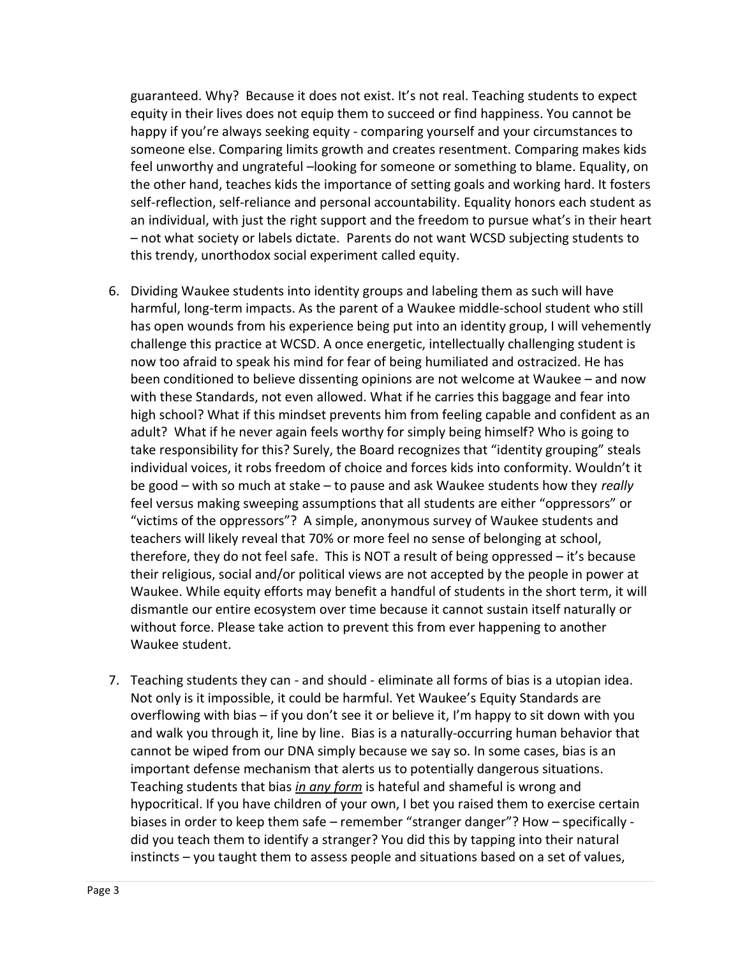guaranteed. Why? Because it does not exist. It's not real. Teaching students to expect equity in their lives does not equip them to succeed or find happiness. You cannot be happy if you're always seeking equity - comparing yourself and your circumstances to someone else. Comparing limits growth and creates resentment. Comparing makes kids feel unworthy and ungrateful –looking for someone or something to blame. Equality, on the other hand, teaches kids the importance of setting goals and working hard. It fosters self-reflection, self-reliance and personal accountability. Equality honors each student as an individual, with just the right support and the freedom to pursue what's in their heart – not what society or labels dictate. Parents do not want WCSD subjecting students to this trendy, unorthodox social experiment called equity.

- 6. Dividing Waukee students into identity groups and labeling them as such will have harmful, long-term impacts. As the parent of a Waukee middle-school student who still has open wounds from his experience being put into an identity group, I will vehemently challenge this practice at WCSD. A once energetic, intellectually challenging student is now too afraid to speak his mind for fear of being humiliated and ostracized. He has been conditioned to believe dissenting opinions are not welcome at Waukee – and now with these Standards, not even allowed. What if he carries this baggage and fear into high school? What if this mindset prevents him from feeling capable and confident as an adult? What if he never again feels worthy for simply being himself? Who is going to take responsibility for this? Surely, the Board recognizes that "identity grouping" steals individual voices, it robs freedom of choice and forces kids into conformity. Wouldn't it be good – with so much at stake – to pause and ask Waukee students how they really feel versus making sweeping assumptions that all students are either "oppressors" or "victims of the oppressors"? A simple, anonymous survey of Waukee students and teachers will likely reveal that 70% or more feel no sense of belonging at school, therefore, they do not feel safe. This is NOT a result of being oppressed – it's because their religious, social and/or political views are not accepted by the people in power at Waukee. While equity efforts may benefit a handful of students in the short term, it will dismantle our entire ecosystem over time because it cannot sustain itself naturally or without force. Please take action to prevent this from ever happening to another Waukee student.
- 7. Teaching students they can and should eliminate all forms of bias is a utopian idea. Not only is it impossible, it could be harmful. Yet Waukee's Equity Standards are overflowing with bias – if you don't see it or believe it, I'm happy to sit down with you and walk you through it, line by line. Bias is a naturally-occurring human behavior that cannot be wiped from our DNA simply because we say so. In some cases, bias is an important defense mechanism that alerts us to potentially dangerous situations. Teaching students that bias in any form is hateful and shameful is wrong and hypocritical. If you have children of your own, I bet you raised them to exercise certain biases in order to keep them safe – remember "stranger danger"? How – specifically did you teach them to identify a stranger? You did this by tapping into their natural instincts – you taught them to assess people and situations based on a set of values,